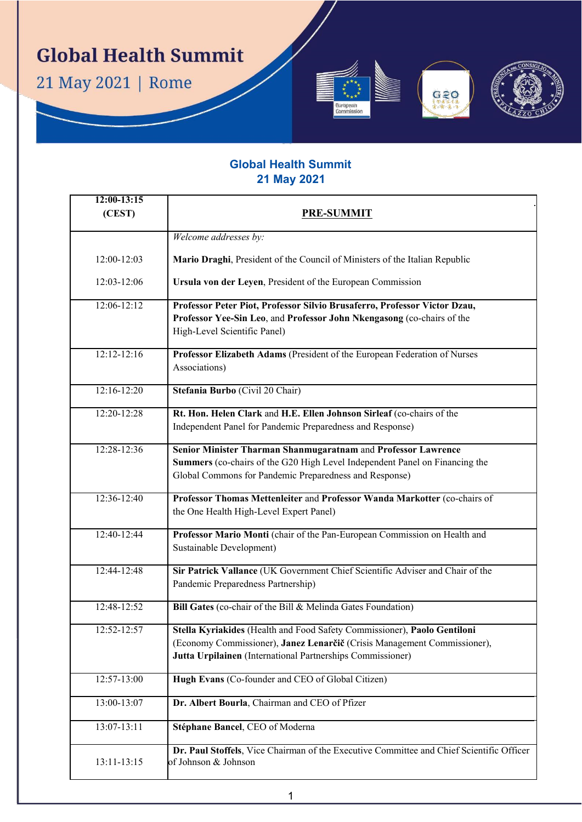**Global Health Summit** 

21 May 2021 | Rome



 $C<sub>50</sub>$ 

| $12:00-13:15$<br>(CEST) | <b>PRE-SUMMIT</b>                                                                                                                                                                                                  |
|-------------------------|--------------------------------------------------------------------------------------------------------------------------------------------------------------------------------------------------------------------|
|                         | Welcome addresses by:                                                                                                                                                                                              |
| 12:00-12:03             | Mario Draghi, President of the Council of Ministers of the Italian Republic                                                                                                                                        |
| 12:03-12:06             | Ursula von der Leyen, President of the European Commission                                                                                                                                                         |
| 12:06-12:12             | Professor Peter Piot, Professor Silvio Brusaferro, Professor Victor Dzau,<br>Professor Yee-Sin Leo, and Professor John Nkengasong (co-chairs of the<br>High-Level Scientific Panel)                                |
| 12:12-12:16             | Professor Elizabeth Adams (President of the European Federation of Nurses<br>Associations)                                                                                                                         |
| 12:16-12:20             | Stefania Burbo (Civil 20 Chair)                                                                                                                                                                                    |
| 12:20-12:28             | Rt. Hon. Helen Clark and H.E. Ellen Johnson Sirleaf (co-chairs of the<br>Independent Panel for Pandemic Preparedness and Response)                                                                                 |
| 12:28-12:36             | Senior Minister Tharman Shanmugaratnam and Professor Lawrence<br>Summers (co-chairs of the G20 High Level Independent Panel on Financing the<br>Global Commons for Pandemic Preparedness and Response)             |
| 12:36-12:40             | Professor Thomas Mettenleiter and Professor Wanda Markotter (co-chairs of<br>the One Health High-Level Expert Panel)                                                                                               |
| 12:40-12:44             | Professor Mario Monti (chair of the Pan-European Commission on Health and<br>Sustainable Development)                                                                                                              |
| 12:44-12:48             | Sir Patrick Vallance (UK Government Chief Scientific Adviser and Chair of the<br>Pandemic Preparedness Partnership)                                                                                                |
| 12:48-12:52             | Bill Gates (co-chair of the Bill & Melinda Gates Foundation)                                                                                                                                                       |
| 12:52-12:57             | Stella Kyriakides (Health and Food Safety Commissioner), Paolo Gentiloni<br>(Economy Commissioner), Janez Lenarčič (Crisis Management Commissioner),<br>Jutta Urpilainen (International Partnerships Commissioner) |
| 12:57-13:00             | Hugh Evans (Co-founder and CEO of Global Citizen)                                                                                                                                                                  |
| 13:00-13:07             | Dr. Albert Bourla, Chairman and CEO of Pfizer                                                                                                                                                                      |
| 13:07-13:11             | Stéphane Bancel, CEO of Moderna                                                                                                                                                                                    |
| 13:11-13:15             | Dr. Paul Stoffels, Vice Chairman of the Executive Committee and Chief Scientific Officer<br>of Johnson & Johnson                                                                                                   |

1